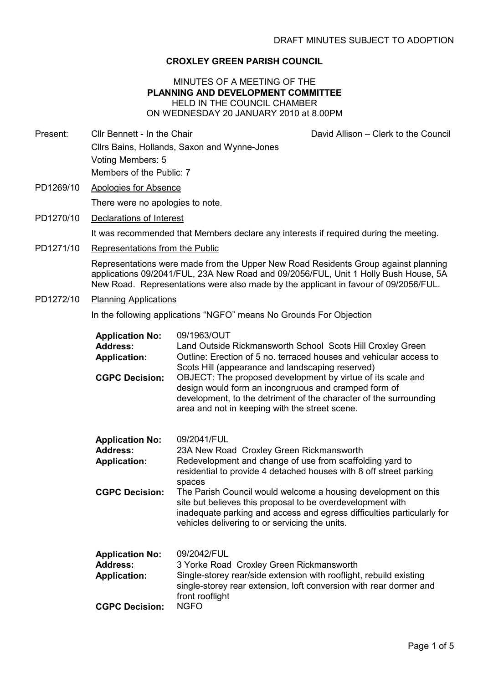### CROXLEY GREEN PARISH COUNCIL

### MINUTES OF A MEETING OF THE PLANNING AND DEVELOPMENT COMMITTEE HELD IN THE COUNCIL CHAMBER ON WEDNESDAY 20 JANUARY 2010 at 8.00PM

Present: Cllr Bennett - In the Chair David Allison – Clerk to the Council

- Cllrs Bains, Hollands, Saxon and Wynne-Jones Voting Members: 5 Members of the Public: 7
- PD1269/10 Apologies for Absence

There were no apologies to note.

PD1270/10 Declarations of Interest

It was recommended that Members declare any interests if required during the meeting.

PD1271/10 Representations from the Public

Representations were made from the Upper New Road Residents Group against planning applications 09/2041/FUL, 23A New Road and 09/2056/FUL, Unit 1 Holly Bush House, 5A New Road. Representations were also made by the applicant in favour of 09/2056/FUL.

### PD1272/10 Planning Applications

In the following applications "NGFO" means No Grounds For Objection

| <b>Application No:</b><br><b>Address:</b><br><b>Application:</b> | 09/1963/OUT<br>Land Outside Rickmansworth School Scots Hill Croxley Green<br>Outline: Erection of 5 no. terraced houses and vehicular access to<br>Scots Hill (appearance and landscaping reserved)                                                      |
|------------------------------------------------------------------|----------------------------------------------------------------------------------------------------------------------------------------------------------------------------------------------------------------------------------------------------------|
| <b>CGPC Decision:</b>                                            | OBJECT: The proposed development by virtue of its scale and<br>design would form an incongruous and cramped form of<br>development, to the detriment of the character of the surrounding<br>area and not in keeping with the street scene.               |
| <b>Application No:</b>                                           | 09/2041/FUL                                                                                                                                                                                                                                              |
| <b>Address:</b>                                                  | 23A New Road Croxley Green Rickmansworth                                                                                                                                                                                                                 |
| <b>Application:</b>                                              | Redevelopment and change of use from scaffolding yard to<br>residential to provide 4 detached houses with 8 off street parking<br>spaces                                                                                                                 |
| <b>CGPC Decision:</b>                                            | The Parish Council would welcome a housing development on this<br>site but believes this proposal to be overdevelopment with<br>inadequate parking and access and egress difficulties particularly for<br>vehicles delivering to or servicing the units. |
| <b>Application No:</b>                                           | 09/2042/FUL                                                                                                                                                                                                                                              |
| <b>Address:</b>                                                  | 3 Yorke Road Croxley Green Rickmansworth                                                                                                                                                                                                                 |
| <b>Application:</b>                                              | Single-storey rear/side extension with rooflight, rebuild existing<br>single-storey rear extension, loft conversion with rear dormer and<br>front rooflight                                                                                              |
| <b>CGPC Decision:</b>                                            | <b>NGFO</b>                                                                                                                                                                                                                                              |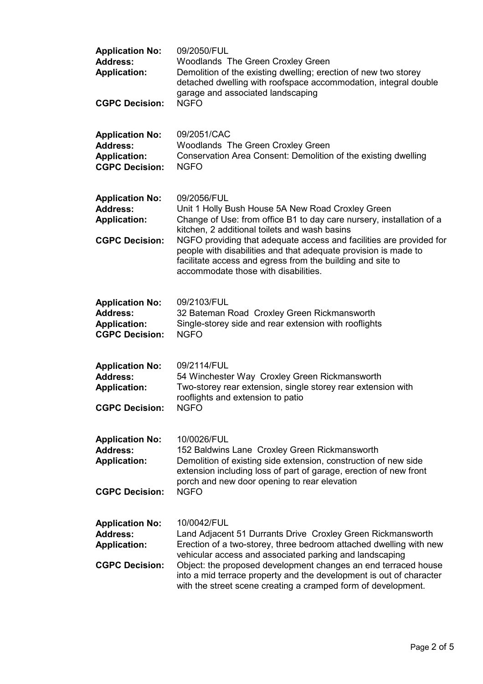| <b>Application No:</b><br><b>Address:</b><br><b>Application:</b><br><b>CGPC Decision:</b> | 09/2050/FUL<br><b>Woodlands The Green Croxley Green</b><br>Demolition of the existing dwelling; erection of new two storey<br>detached dwelling with roofspace accommodation, integral double<br>garage and associated landscaping<br><b>NGFO</b>                                                                                                                                                                                         |
|-------------------------------------------------------------------------------------------|-------------------------------------------------------------------------------------------------------------------------------------------------------------------------------------------------------------------------------------------------------------------------------------------------------------------------------------------------------------------------------------------------------------------------------------------|
| <b>Application No:</b><br><b>Address:</b><br><b>Application:</b><br><b>CGPC Decision:</b> | 09/2051/CAC<br>Woodlands The Green Croxley Green<br>Conservation Area Consent: Demolition of the existing dwelling<br><b>NGFO</b>                                                                                                                                                                                                                                                                                                         |
| <b>Application No:</b><br><b>Address:</b><br><b>Application:</b><br><b>CGPC Decision:</b> | 09/2056/FUL<br>Unit 1 Holly Bush House 5A New Road Croxley Green<br>Change of Use: from office B1 to day care nursery, installation of a<br>kitchen, 2 additional toilets and wash basins<br>NGFO providing that adequate access and facilities are provided for<br>people with disabilities and that adequate provision is made to<br>facilitate access and egress from the building and site to<br>accommodate those with disabilities. |
| <b>Application No:</b><br><b>Address:</b><br><b>Application:</b><br><b>CGPC Decision:</b> | 09/2103/FUL<br>32 Bateman Road Croxley Green Rickmansworth<br>Single-storey side and rear extension with rooflights<br><b>NGFO</b>                                                                                                                                                                                                                                                                                                        |
| <b>Application No:</b><br><b>Address:</b><br><b>Application:</b><br><b>CGPC Decision:</b> | 09/2114/FUL<br>54 Winchester Way Croxley Green Rickmansworth<br>Two-storey rear extension, single storey rear extension with<br>rooflights and extension to patio<br>NGFO                                                                                                                                                                                                                                                                 |
| <b>Application No:</b><br><b>Address:</b><br><b>Application:</b><br><b>CGPC Decision:</b> | 10/0026/FUL<br>152 Baldwins Lane Croxley Green Rickmansworth<br>Demolition of existing side extension, construction of new side<br>extension including loss of part of garage, erection of new front<br>porch and new door opening to rear elevation<br><b>NGFO</b>                                                                                                                                                                       |
| <b>Application No:</b><br><b>Address:</b><br><b>Application:</b><br><b>CGPC Decision:</b> | 10/0042/FUL<br>Land Adjacent 51 Durrants Drive Croxley Green Rickmansworth<br>Erection of a two-storey, three bedroom attached dwelling with new<br>vehicular access and associated parking and landscaping<br>Object: the proposed development changes an end terraced house<br>into a mid terrace property and the development is out of character<br>with the street scene creating a cramped form of development.                     |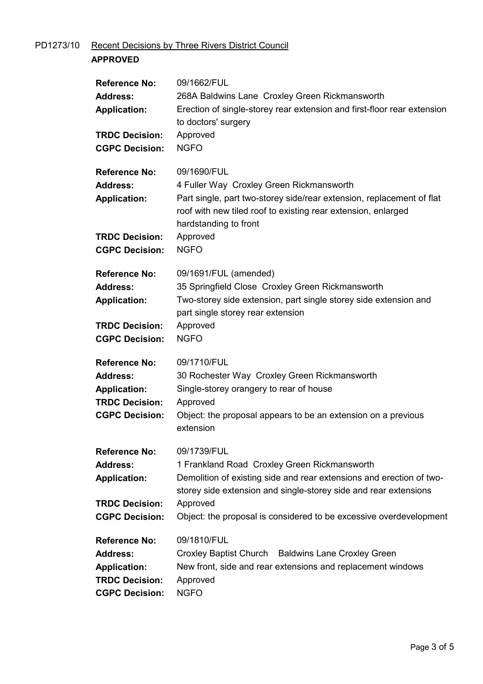# PD1273/10 Recent Decisions by Three Rivers District Council

# APPROVED

| <b>Reference No:</b><br><b>Address:</b><br><b>Application:</b><br><b>TRDC Decision:</b><br><b>CGPC Decision:</b> | 09/1662/FUL<br>268A Baldwins Lane Croxley Green Rickmansworth<br>Erection of single-storey rear extension and first-floor rear extension<br>to doctors' surgery<br>Approved<br><b>NGFO</b>                                             |
|------------------------------------------------------------------------------------------------------------------|----------------------------------------------------------------------------------------------------------------------------------------------------------------------------------------------------------------------------------------|
| <b>Reference No:</b><br><b>Address:</b><br><b>Application:</b><br><b>TRDC Decision:</b>                          | 09/1690/FUL<br>4 Fuller Way Croxley Green Rickmansworth<br>Part single, part two-storey side/rear extension, replacement of flat<br>roof with new tiled roof to existing rear extension, enlarged<br>hardstanding to front<br>Approved |
| <b>CGPC Decision:</b>                                                                                            | <b>NGFO</b>                                                                                                                                                                                                                            |
| <b>Reference No:</b><br><b>Address:</b><br><b>Application:</b><br><b>TRDC Decision:</b>                          | 09/1691/FUL (amended)<br>35 Springfield Close Croxley Green Rickmansworth<br>Two-storey side extension, part single storey side extension and<br>part single storey rear extension<br>Approved                                         |
| <b>CGPC Decision:</b>                                                                                            | <b>NGFO</b>                                                                                                                                                                                                                            |
| <b>Reference No:</b><br><b>Address:</b><br><b>Application:</b><br><b>TRDC Decision:</b><br><b>CGPC Decision:</b> | 09/1710/FUL<br>30 Rochester Way Croxley Green Rickmansworth<br>Single-storey orangery to rear of house<br>Approved<br>Object: the proposal appears to be an extension on a previous<br>extension                                       |
| <b>Reference No:</b><br><b>Address:</b><br><b>Application:</b>                                                   | 09/1739/FUL<br>1 Frankland Road Croxley Green Rickmansworth<br>Demolition of existing side and rear extensions and erection of two-<br>storey side extension and single-storey side and rear extensions                                |
| <b>TRDC Decision:</b><br><b>CGPC Decision:</b>                                                                   | Approved<br>Object: the proposal is considered to be excessive overdevelopment                                                                                                                                                         |
| <b>Reference No:</b><br><b>Address:</b><br><b>Application:</b><br><b>TRDC Decision:</b>                          | 09/1810/FUL<br>Croxley Baptist Church Baldwins Lane Croxley Green<br>New front, side and rear extensions and replacement windows<br>Approved                                                                                           |
| <b>CGPC Decision:</b>                                                                                            | <b>NGFO</b>                                                                                                                                                                                                                            |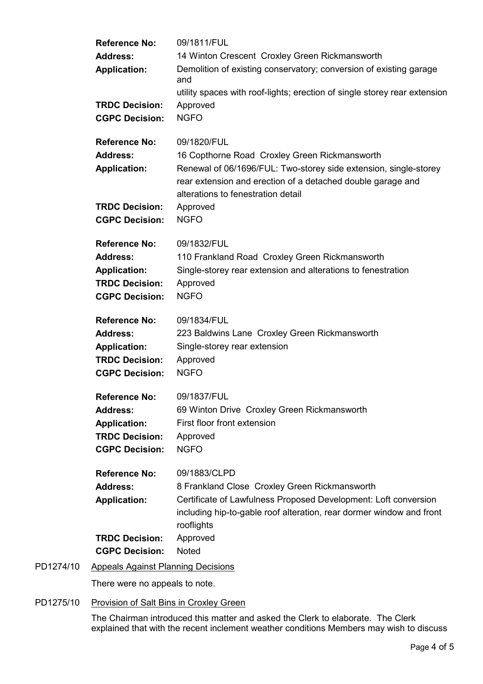| 14 Winton Crescent Croxley Green Rickmansworth<br><b>Address:</b><br>Demolition of existing conservatory; conversion of existing garage<br><b>Application:</b><br>and<br>utility spaces with roof-lights; erection of single storey rear extension<br><b>TRDC Decision:</b><br>Approved<br><b>NGFO</b><br><b>CGPC Decision:</b>                                        |  |
|------------------------------------------------------------------------------------------------------------------------------------------------------------------------------------------------------------------------------------------------------------------------------------------------------------------------------------------------------------------------|--|
| 09/1820/FUL<br><b>Reference No:</b><br><b>Address:</b><br>16 Copthorne Road Croxley Green Rickmansworth<br>Renewal of 06/1696/FUL: Two-storey side extension, single-storey<br><b>Application:</b><br>rear extension and erection of a detached double garage and<br>alterations to fenestration detail<br><b>TRDC Decision:</b>                                       |  |
| Approved<br><b>CGPC Decision:</b><br><b>NGFO</b>                                                                                                                                                                                                                                                                                                                       |  |
| 09/1832/FUL<br><b>Reference No:</b><br><b>Address:</b><br>110 Frankland Road Croxley Green Rickmansworth<br>Single-storey rear extension and alterations to fenestration<br><b>Application:</b><br><b>TRDC Decision:</b><br>Approved<br><b>NGFO</b><br><b>CGPC Decision:</b>                                                                                           |  |
| 09/1834/FUL<br><b>Reference No:</b><br>223 Baldwins Lane Croxley Green Rickmansworth<br><b>Address:</b><br><b>Application:</b><br>Single-storey rear extension<br><b>TRDC Decision:</b><br>Approved<br><b>NGFO</b><br><b>CGPC Decision:</b>                                                                                                                            |  |
| <b>Reference No:</b><br>09/1837/FUL<br>69 Winton Drive Croxley Green Rickmansworth<br><b>Address:</b><br>First floor front extension<br><b>Application:</b><br><b>TRDC Decision:</b><br>Approved<br><b>CGPC Decision:</b><br><b>NGFO</b>                                                                                                                               |  |
| <b>Reference No:</b><br>09/1883/CLPD<br><b>Address:</b><br>8 Frankland Close Croxley Green Rickmansworth<br>Certificate of Lawfulness Proposed Development: Loft conversion<br><b>Application:</b><br>including hip-to-gable roof alteration, rear dormer window and front<br>rooflights<br><b>TRDC Decision:</b><br>Approved<br><b>CGPC Decision:</b><br><b>Noted</b> |  |
| <b>Appeals Against Planning Decisions</b><br>There were no appeals to note.                                                                                                                                                                                                                                                                                            |  |

## PD1275/10 Provision of Salt Bins in Croxley Green

PD1274/10

The Chairman introduced this matter and asked the Clerk to elaborate. The Clerk explained that with the recent inclement weather conditions Members may wish to discuss